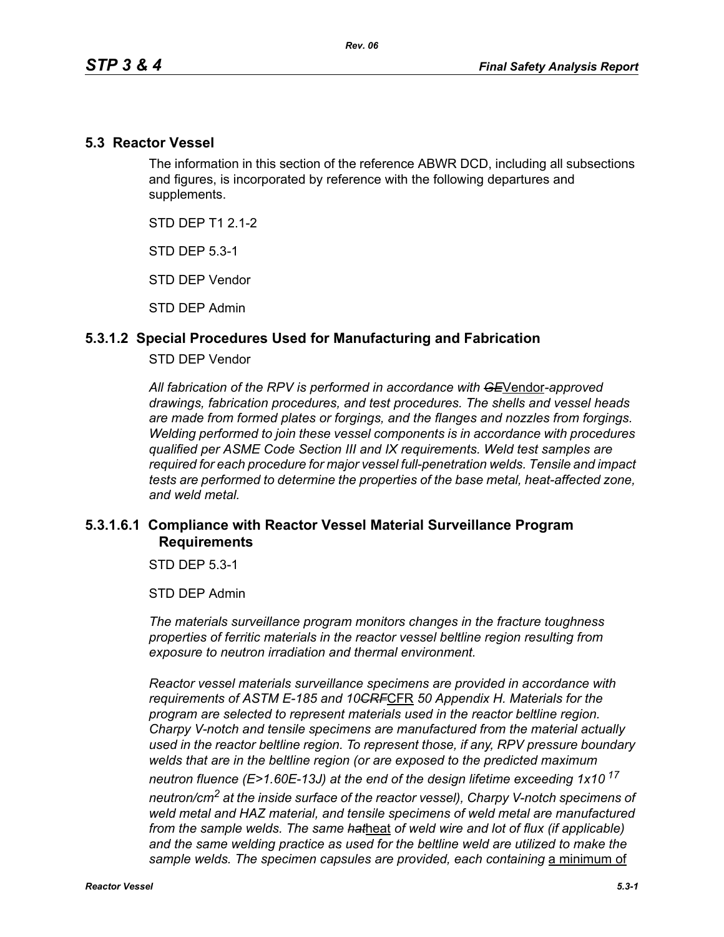### **5.3 Reactor Vessel**

The information in this section of the reference ABWR DCD, including all subsections and figures, is incorporated by reference with the following departures and supplements.

STD DFP T1 2 1-2

STD DEP 5.3-1

STD DEP Vendor

STD DEP Admin

## **5.3.1.2 Special Procedures Used for Manufacturing and Fabrication**

#### STD DEP Vendor

*All fabrication of the RPV is performed in accordance with GE*Vendor*-approved drawings, fabrication procedures, and test procedures. The shells and vessel heads are made from formed plates or forgings, and the flanges and nozzles from forgings. Welding performed to join these vessel components is in accordance with procedures qualified per ASME Code Section III and IX requirements. Weld test samples are required for each procedure for major vessel full-penetration welds. Tensile and impact tests are performed to determine the properties of the base metal, heat-affected zone, and weld metal.*

# **5.3.1.6.1 Compliance with Reactor Vessel Material Surveillance Program Requirements**

STD DEP 5.3-1

STD DEP Admin

*The materials surveillance program monitors changes in the fracture toughness properties of ferritic materials in the reactor vessel beltline region resulting from exposure to neutron irradiation and thermal environment.* 

*Reactor vessel materials surveillance specimens are provided in accordance with requirements of ASTM E-185 and 10CRF*CFR *50 Appendix H. Materials for the program are selected to represent materials used in the reactor beltline region. Charpy V-notch and tensile specimens are manufactured from the material actually used in the reactor beltline region. To represent those, if any, RPV pressure boundary welds that are in the beltline region (or are exposed to the predicted maximum neutron fluence (E>1.60E-13J) at the end of the design lifetime exceeding 1x10<sup>17</sup> neutron/cm2 at the inside surface of the reactor vessel), Charpy V-notch specimens of weld metal and HAZ material, and tensile specimens of weld metal are manufactured from the sample welds. The same hat*heat *of weld wire and lot of flux (if applicable)*  and the same welding practice as used for the beltline weld are utilized to make the sample welds. The specimen capsules are provided, each containing a minimum of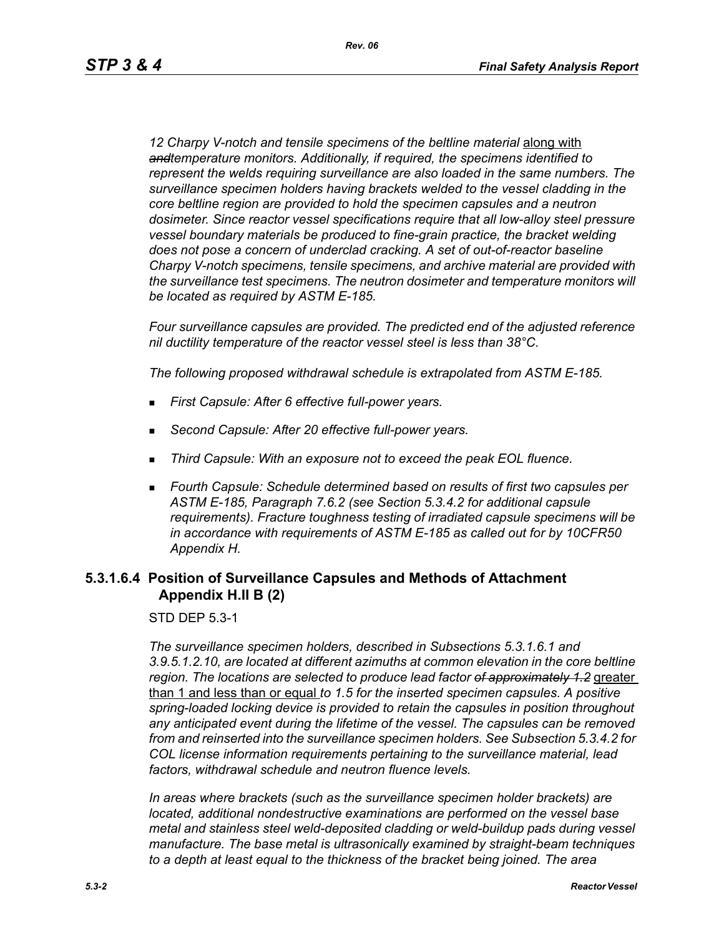12 Charpy V-notch and tensile specimens of the beltline material **along with** *andtemperature monitors. Additionally, if required, the specimens identified to represent the welds requiring surveillance are also loaded in the same numbers. The surveillance specimen holders having brackets welded to the vessel cladding in the core beltline region are provided to hold the specimen capsules and a neutron dosimeter. Since reactor vessel specifications require that all low-alloy steel pressure vessel boundary materials be produced to fine-grain practice, the bracket welding does not pose a concern of underclad cracking. A set of out-of-reactor baseline Charpy V-notch specimens, tensile specimens, and archive material are provided with the surveillance test specimens. The neutron dosimeter and temperature monitors will be located as required by ASTM E-185.*

*Four surveillance capsules are provided. The predicted end of the adjusted reference nil ductility temperature of the reactor vessel steel is less than 38°C.*

*The following proposed withdrawal schedule is extrapolated from ASTM E-185.*

- *First Capsule: After 6 effective full-power years.*
- *Second Capsule: After 20 effective full-power years.*
- *Third Capsule: With an exposure not to exceed the peak EOL fluence.*
- *Fourth Capsule: Schedule determined based on results of first two capsules per ASTM E-185, Paragraph 7.6.2 (see Section 5.3.4.2 for additional capsule requirements). Fracture toughness testing of irradiated capsule specimens will be in accordance with requirements of ASTM E-185 as called out for by 10CFR50 Appendix H.*

## **5.3.1.6.4 Position of Surveillance Capsules and Methods of Attachment Appendix H.II B (2)**

STD DEP 5.3-1

*The surveillance specimen holders, described in Subsections 5.3.1.6.1 and 3.9.5.1.2.10, are located at different azimuths at common elevation in the core beltline region. The locations are selected to produce lead factor of approximately 1.2* greater than 1 and less than or equal *to 1.5 for the inserted specimen capsules. A positive spring-loaded locking device is provided to retain the capsules in position throughout any anticipated event during the lifetime of the vessel. The capsules can be removed from and reinserted into the surveillance specimen holders. See Subsection 5.3.4.2 for COL license information requirements pertaining to the surveillance material, lead factors, withdrawal schedule and neutron fluence levels.*

*In areas where brackets (such as the surveillance specimen holder brackets) are located, additional nondestructive examinations are performed on the vessel base metal and stainless steel weld-deposited cladding or weld-buildup pads during vessel manufacture. The base metal is ultrasonically examined by straight-beam techniques to a depth at least equal to the thickness of the bracket being joined. The area*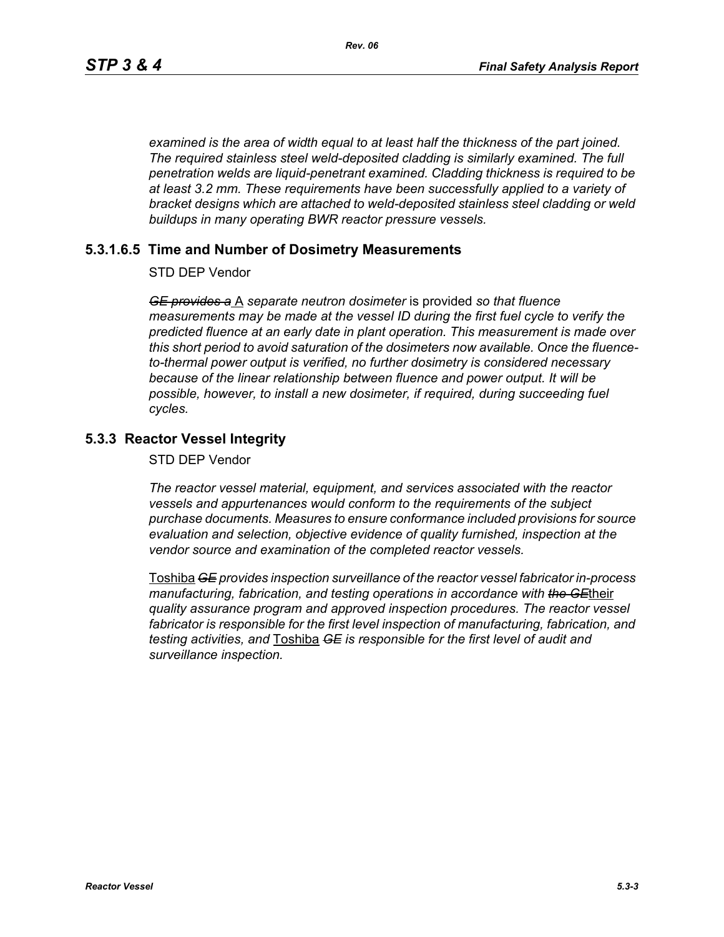*examined is the area of width equal to at least half the thickness of the part joined. The required stainless steel weld-deposited cladding is similarly examined. The full penetration welds are liquid-penetrant examined. Cladding thickness is required to be at least 3.2 mm. These requirements have been successfully applied to a variety of bracket designs which are attached to weld-deposited stainless steel cladding or weld buildups in many operating BWR reactor pressure vessels.*

### **5.3.1.6.5 Time and Number of Dosimetry Measurements**

STD DEP Vendor

*GE provides a* A *separate neutron dosimeter* is provided *so that fluence measurements may be made at the vessel ID during the first fuel cycle to verify the predicted fluence at an early date in plant operation. This measurement is made over this short period to avoid saturation of the dosimeters now available. Once the fluenceto-thermal power output is verified, no further dosimetry is considered necessary because of the linear relationship between fluence and power output. It will be possible, however, to install a new dosimeter, if required, during succeeding fuel cycles.*

# **5.3.3 Reactor Vessel Integrity**

STD DEP Vendor

*The reactor vessel material, equipment, and services associated with the reactor vessels and appurtenances would conform to the requirements of the subject purchase documents. Measures to ensure conformance included provisions for source evaluation and selection, objective evidence of quality furnished, inspection at the vendor source and examination of the completed reactor vessels.*

Toshiba *GE provides inspection surveillance of the reactor vessel fabricator in-process manufacturing, fabrication, and testing operations in accordance with the GE*their *quality assurance program and approved inspection procedures. The reactor vessel fabricator is responsible for the first level inspection of manufacturing, fabrication, and testing activities, and* Toshiba *GE is responsible for the first level of audit and surveillance inspection.*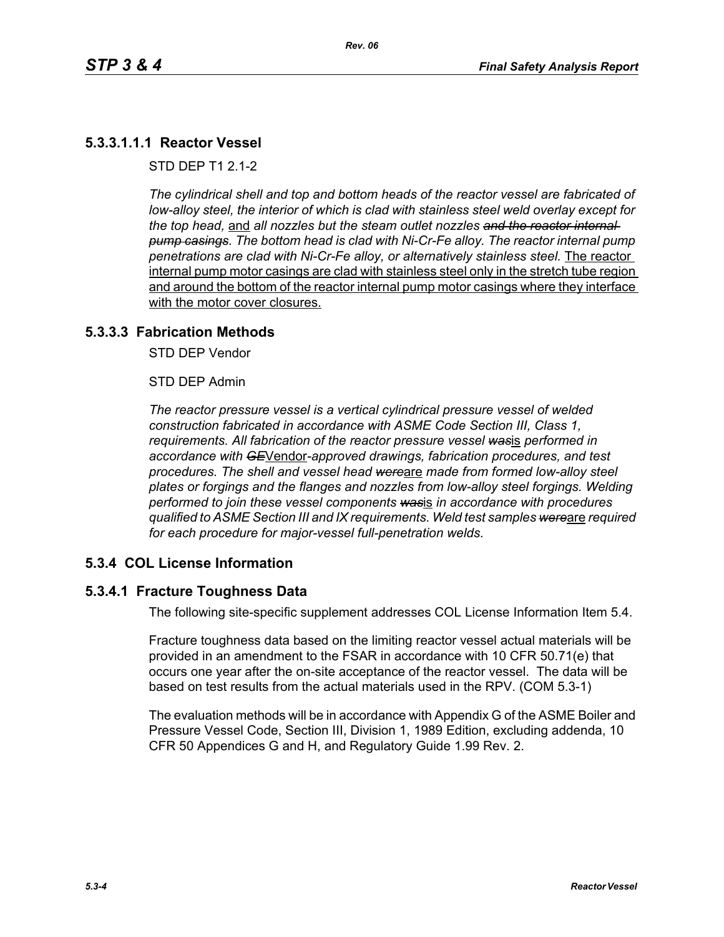# **5.3.3.1.1.1 Reactor Vessel**

STD DEP T1 2.1-2

*The cylindrical shell and top and bottom heads of the reactor vessel are fabricated of low-alloy steel, the interior of which is clad with stainless steel weld overlay except for the top head,* and *all nozzles but the steam outlet nozzles and the reactor internal pump casings. The bottom head is clad with Ni-Cr-Fe alloy. The reactor internal pump penetrations are clad with Ni-Cr-Fe alloy, or alternatively stainless steel.* The reactor internal pump motor casings are clad with stainless steel only in the stretch tube region and around the bottom of the reactor internal pump motor casings where they interface with the motor cover closures.

### **5.3.3.3 Fabrication Methods**

STD DEP Vendor

STD DEP Admin

*The reactor pressure vessel is a vertical cylindrical pressure vessel of welded construction fabricated in accordance with ASME Code Section III, Class 1, requirements. All fabrication of the reactor pressure vessel was*is *performed in accordance with GE*Vendor*-approved drawings, fabrication procedures, and test procedures. The shell and vessel head were*are *made from formed low-alloy steel plates or forgings and the flanges and nozzles from low-alloy steel forgings. Welding performed to join these vessel components was*is *in accordance with procedures qualified to ASME Section III and IX requirements. Weld test samples were*are *required for each procedure for major-vessel full-penetration welds.*

### **5.3.4 COL License Information**

## **5.3.4.1 Fracture Toughness Data**

The following site-specific supplement addresses COL License Information Item 5.4.

Fracture toughness data based on the limiting reactor vessel actual materials will be provided in an amendment to the FSAR in accordance with 10 CFR 50.71(e) that occurs one year after the on-site acceptance of the reactor vessel. The data will be based on test results from the actual materials used in the RPV. (COM 5.3-1)

The evaluation methods will be in accordance with Appendix G of the ASME Boiler and Pressure Vessel Code, Section III, Division 1, 1989 Edition, excluding addenda, 10 CFR 50 Appendices G and H, and Regulatory Guide 1.99 Rev. 2.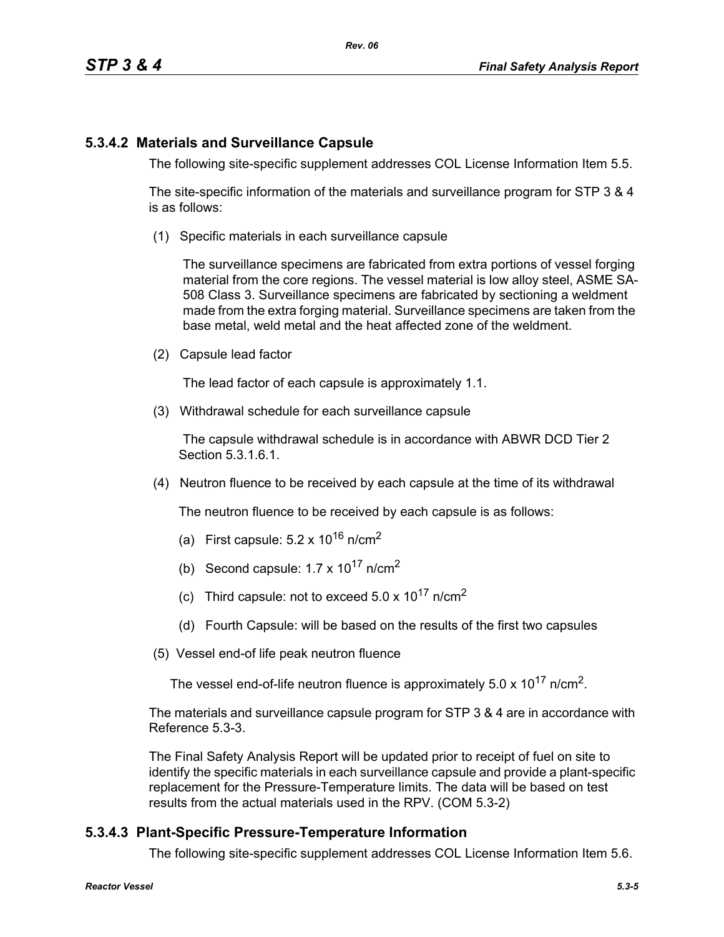# **5.3.4.2 Materials and Surveillance Capsule**

The following site-specific supplement addresses COL License Information Item 5.5.

The site-specific information of the materials and surveillance program for STP 3 & 4 is as follows:

(1) Specific materials in each surveillance capsule

The surveillance specimens are fabricated from extra portions of vessel forging material from the core regions. The vessel material is low alloy steel, ASME SA-508 Class 3. Surveillance specimens are fabricated by sectioning a weldment made from the extra forging material. Surveillance specimens are taken from the base metal, weld metal and the heat affected zone of the weldment.

(2) Capsule lead factor

The lead factor of each capsule is approximately 1.1.

(3) Withdrawal schedule for each surveillance capsule

The capsule withdrawal schedule is in accordance with ABWR DCD Tier 2 Section 5.3.1.6.1.

(4) Neutron fluence to be received by each capsule at the time of its withdrawal

The neutron fluence to be received by each capsule is as follows:

- (a) First capsule:  $5.2 \times 10^{16}$  n/cm<sup>2</sup>
- (b) Second capsule:  $1.7 \times 10^{17}$  n/cm<sup>2</sup>
- (c) Third capsule: not to exceed  $5.0 \times 10^{17}$  n/cm<sup>2</sup>
- (d) Fourth Capsule: will be based on the results of the first two capsules
- (5) Vessel end-of life peak neutron fluence

The vessel end-of-life neutron fluence is approximately  $5.0 \times 10^{17}$  n/cm<sup>2</sup>.

The materials and surveillance capsule program for STP 3 & 4 are in accordance with Reference 5.3-3.

The Final Safety Analysis Report will be updated prior to receipt of fuel on site to identify the specific materials in each surveillance capsule and provide a plant-specific replacement for the Pressure-Temperature limits. The data will be based on test results from the actual materials used in the RPV. (COM 5.3-2)

# **5.3.4.3 Plant-Specific Pressure-Temperature Information**

The following site-specific supplement addresses COL License Information Item 5.6.